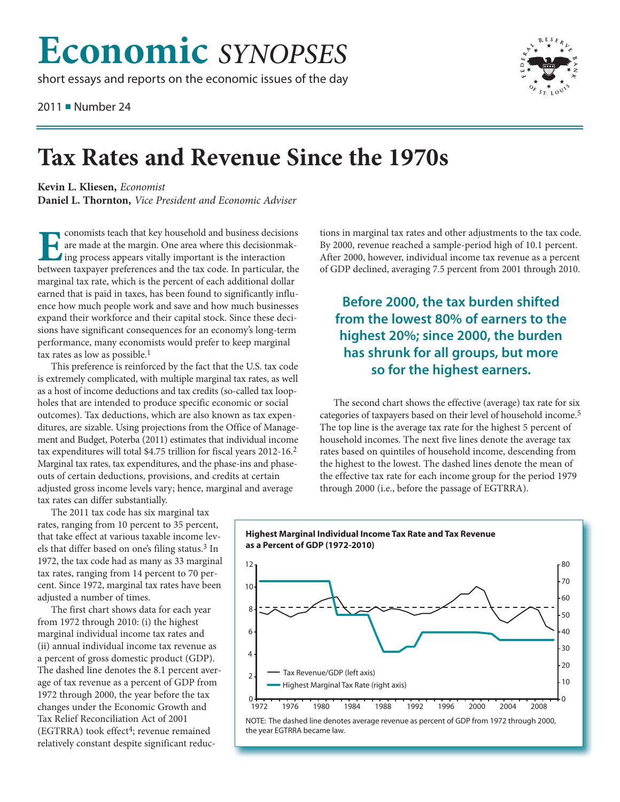## **Economic** *SYNOPSES*

short essays and reports on the economic issues of the day

2011 ■ Number 24



## **Tax Rates and Revenue Since the 1970s**

**Kevin L. Kliesen,** *Economist* **Daniel L. Thornton,** *Vice President and Economic Adviser*

**Exonomists teach that key household and business decisions are made at the margin. One area where this decision making process appears vitally important is the interaction** are made at the margin. One area where this decisionmak-Ing process appears vitally important is the interaction between taxpayer preferences and the tax code. In particular, the marginal tax rate, which is the percent of each additional dollar earned that is paid in taxes, has been found to significantly influence how much people work and save and how much businesses expand their workforce and their capital stock. Since these decisions have significant consequences for an economy's long-term performance, many economists would prefer to keep marginal tax rates as low as possible.1

This preference is reinforced by the fact that the U.S. tax code is extremely complicated, with multiple marginal tax rates, as well as a host of income deductions and tax credits (so-called tax loopholes that are intended to produce specific economic or social outcomes). Tax deductions, which are also known as tax expenditures, are sizable. Using projections from the Office of Management and Budget, Poterba (2011) estimates that individual income tax expenditures will total \$4.75 trillion for fiscal years 2012-16.2 Marginal tax rates, tax expenditures, and the phase-ins and phaseouts of certain deductions, provisions, and credits at certain adjusted gross income levels vary; hence, marginal and average tax rates can differ substantially.

The 2011 tax code has six marginal tax rates, ranging from 10 percent to 35 percent, that take effect at various taxable income levels that differ based on one's filing status.3 In 1972, the tax code had as many as 33 marginal tax rates, ranging from 14 percent to 70 percent. Since 1972, marginal tax rates have been adjusted a number of times.

The first chart shows data for each year from 1972 through 2010: (i) the highest marginal individual income tax rates and (ii) annual individual income tax revenue as a percent of gross domestic product (GDP). The dashed line denotes the 8.1 percent average of tax revenue as a percent of GDP from 1972 through 2000, the year before the tax changes under the Economic Growth and Tax Relief Reconciliation Act of 2001  $(EGTRRA)$  took effect<sup>4</sup>; revenue remained relatively constant despite significant reductions in marginal tax rates and other adjustments to the tax code. By 2000, revenue reached a sample-period high of 10.1 percent. After 2000, however, individual income tax revenue as a percent of GDP declined, averaging 7.5 percent from 2001 through 2010.

## **Before 2000, the tax burden shifted from the lowest 80% of earners to the highest 20%; since 2000, the burden has shrunk for all groups, but more so for the highest earners.**

The second chart shows the effective (average) tax rate for six categories of taxpayers based on their level of household income.5 The top line is the average tax rate for the highest 5 percent of household incomes. The next five lines denote the average tax rates based on quintiles of household income, descending from the highest to the lowest. The dashed lines denote the mean of the effective tax rate for each income group for the period 1979 through 2000 (i.e., before the passage of EGTRRA).